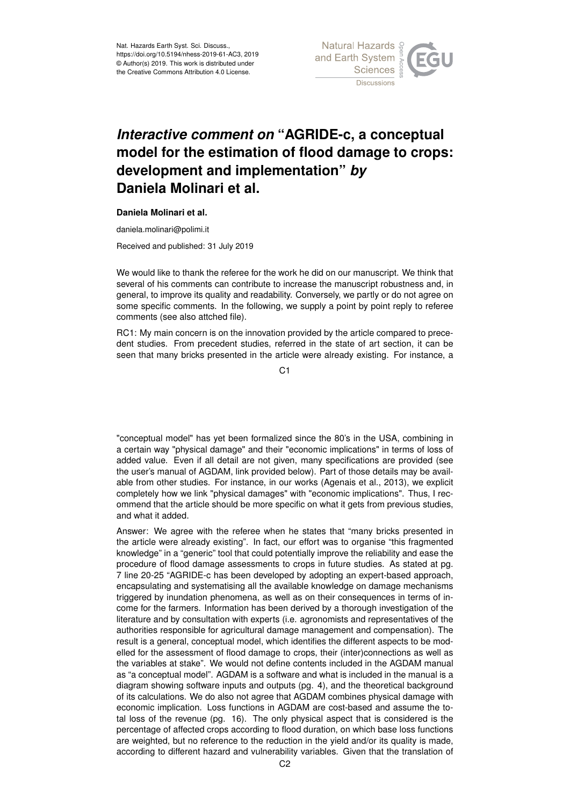

## *Interactive comment on* **"AGRIDE-c, a conceptual model for the estimation of flood damage to crops: development and implementation"** *by* **Daniela Molinari et al.**

## **Daniela Molinari et al.**

daniela.molinari@polimi.it

Received and published: 31 July 2019

We would like to thank the referee for the work he did on our manuscript. We think that several of his comments can contribute to increase the manuscript robustness and, in general, to improve its quality and readability. Conversely, we partly or do not agree on some specific comments. In the following, we supply a point by point reply to referee comments (see also attched file).

RC1: My main concern is on the innovation provided by the article compared to precedent studies. From precedent studies, referred in the state of art section, it can be seen that many bricks presented in the article were already existing. For instance, a

C<sub>1</sub>

"conceptual model" has yet been formalized since the 80's in the USA, combining in a certain way "physical damage" and their "economic implications" in terms of loss of added value. Even if all detail are not given, many specifications are provided (see the user's manual of AGDAM, link provided below). Part of those details may be available from other studies. For instance, in our works (Agenais et al., 2013), we explicit completely how we link "physical damages" with "economic implications". Thus, I recommend that the article should be more specific on what it gets from previous studies, and what it added.

Answer: We agree with the referee when he states that "many bricks presented in the article were already existing". In fact, our effort was to organise "this fragmented knowledge" in a "generic" tool that could potentially improve the reliability and ease the procedure of flood damage assessments to crops in future studies. As stated at pg. 7 line 20-25 "AGRIDE-c has been developed by adopting an expert-based approach, encapsulating and systematising all the available knowledge on damage mechanisms triggered by inundation phenomena, as well as on their consequences in terms of income for the farmers. Information has been derived by a thorough investigation of the literature and by consultation with experts (i.e. agronomists and representatives of the authorities responsible for agricultural damage management and compensation). The result is a general, conceptual model, which identifies the different aspects to be modelled for the assessment of flood damage to crops, their (inter)connections as well as the variables at stake". We would not define contents included in the AGDAM manual as "a conceptual model". AGDAM is a software and what is included in the manual is a diagram showing software inputs and outputs (pg. 4), and the theoretical background of its calculations. We do also not agree that AGDAM combines physical damage with economic implication. Loss functions in AGDAM are cost-based and assume the total loss of the revenue (pg. 16). The only physical aspect that is considered is the percentage of affected crops according to flood duration, on which base loss functions are weighted, but no reference to the reduction in the yield and/or its quality is made, according to different hazard and vulnerability variables. Given that the translation of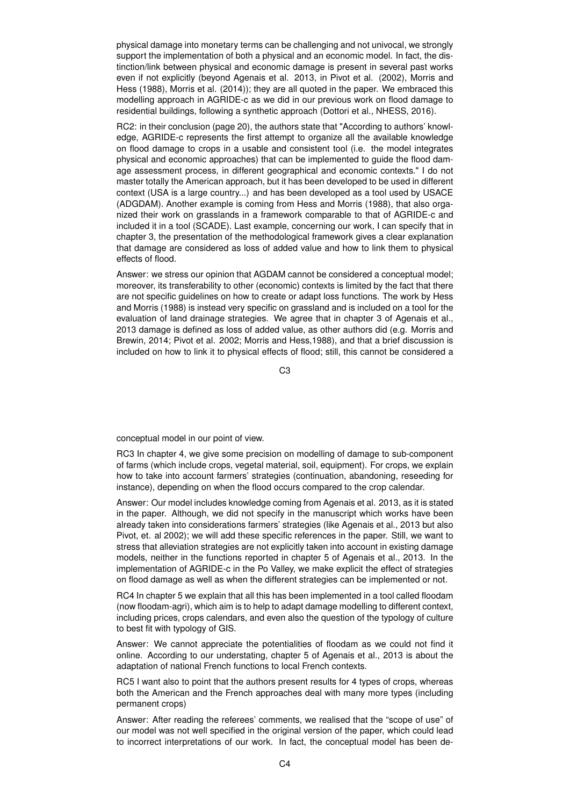physical damage into monetary terms can be challenging and not univocal, we strongly support the implementation of both a physical and an economic model. In fact, the distinction/link between physical and economic damage is present in several past works even if not explicitly (beyond Agenais et al. 2013, in Pivot et al. (2002), Morris and Hess (1988), Morris et al. (2014)); they are all quoted in the paper. We embraced this modelling approach in AGRIDE-c as we did in our previous work on flood damage to residential buildings, following a synthetic approach (Dottori et al., NHESS, 2016).

RC2: in their conclusion (page 20), the authors state that "According to authors' knowledge, AGRIDE-c represents the first attempt to organize all the available knowledge on flood damage to crops in a usable and consistent tool (i.e. the model integrates physical and economic approaches) that can be implemented to guide the flood damage assessment process, in different geographical and economic contexts." I do not master totally the American approach, but it has been developed to be used in different context (USA is a large country...) and has been developed as a tool used by USACE (ADGDAM). Another example is coming from Hess and Morris (1988), that also organized their work on grasslands in a framework comparable to that of AGRIDE-c and included it in a tool (SCADE). Last example, concerning our work, I can specify that in chapter 3, the presentation of the methodological framework gives a clear explanation that damage are considered as loss of added value and how to link them to physical effects of flood.

Answer: we stress our opinion that AGDAM cannot be considered a conceptual model; moreover, its transferability to other (economic) contexts is limited by the fact that there are not specific guidelines on how to create or adapt loss functions. The work by Hess and Morris (1988) is instead very specific on grassland and is included on a tool for the evaluation of land drainage strategies. We agree that in chapter 3 of Agenais et al., 2013 damage is defined as loss of added value, as other authors did (e.g. Morris and Brewin, 2014; Pivot et al. 2002; Morris and Hess,1988), and that a brief discussion is included on how to link it to physical effects of flood; still, this cannot be considered a

C3

conceptual model in our point of view.

RC3 In chapter 4, we give some precision on modelling of damage to sub-component of farms (which include crops, vegetal material, soil, equipment). For crops, we explain how to take into account farmers' strategies (continuation, abandoning, reseeding for instance), depending on when the flood occurs compared to the crop calendar.

Answer: Our model includes knowledge coming from Agenais et al. 2013, as it is stated in the paper. Although, we did not specify in the manuscript which works have been already taken into considerations farmers' strategies (like Agenais et al., 2013 but also Pivot, et. al 2002); we will add these specific references in the paper. Still, we want to stress that alleviation strategies are not explicitly taken into account in existing damage models, neither in the functions reported in chapter 5 of Agenais et al., 2013. In the implementation of AGRIDE-c in the Po Valley, we make explicit the effect of strategies on flood damage as well as when the different strategies can be implemented or not.

RC4 In chapter 5 we explain that all this has been implemented in a tool called floodam (now floodam-agri), which aim is to help to adapt damage modelling to different context, including prices, crops calendars, and even also the question of the typology of culture to best fit with typology of GIS.

Answer: We cannot appreciate the potentialities of floodam as we could not find it online. According to our understating, chapter 5 of Agenais et al., 2013 is about the adaptation of national French functions to local French contexts.

RC5 I want also to point that the authors present results for 4 types of crops, whereas both the American and the French approaches deal with many more types (including permanent crops)

Answer: After reading the referees' comments, we realised that the "scope of use" of our model was not well specified in the original version of the paper, which could lead to incorrect interpretations of our work. In fact, the conceptual model has been de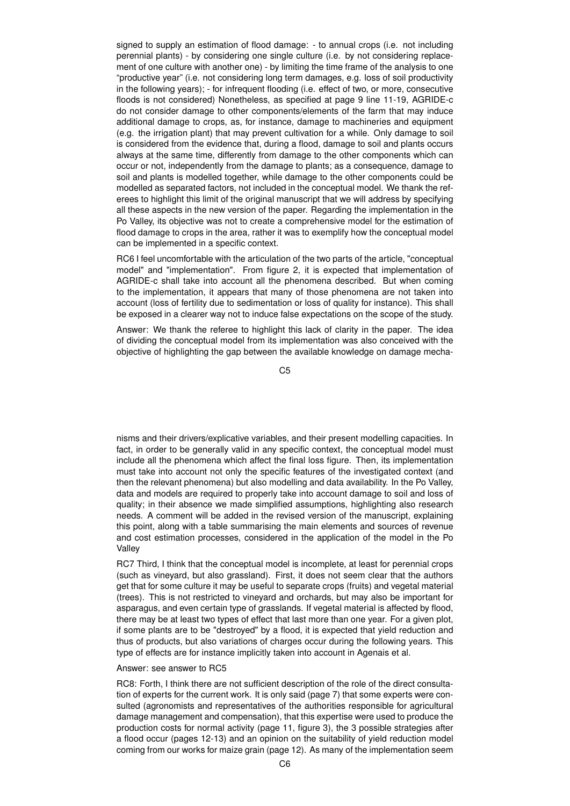signed to supply an estimation of flood damage: - to annual crops (i.e. not including perennial plants) - by considering one single culture (i.e. by not considering replacement of one culture with another one) - by limiting the time frame of the analysis to one "productive year" (i.e. not considering long term damages, e.g. loss of soil productivity in the following years); - for infrequent flooding (i.e. effect of two, or more, consecutive floods is not considered) Nonetheless, as specified at page 9 line 11-19, AGRIDE-c do not consider damage to other components/elements of the farm that may induce additional damage to crops, as, for instance, damage to machineries and equipment (e.g. the irrigation plant) that may prevent cultivation for a while. Only damage to soil is considered from the evidence that, during a flood, damage to soil and plants occurs always at the same time, differently from damage to the other components which can occur or not, independently from the damage to plants; as a consequence, damage to soil and plants is modelled together, while damage to the other components could be modelled as separated factors, not included in the conceptual model. We thank the referees to highlight this limit of the original manuscript that we will address by specifying all these aspects in the new version of the paper. Regarding the implementation in the Po Valley, its objective was not to create a comprehensive model for the estimation of flood damage to crops in the area, rather it was to exemplify how the conceptual model can be implemented in a specific context.

RC6 I feel uncomfortable with the articulation of the two parts of the article, "conceptual model" and "implementation". From figure 2, it is expected that implementation of AGRIDE-c shall take into account all the phenomena described. But when coming to the implementation, it appears that many of those phenomena are not taken into account (loss of fertility due to sedimentation or loss of quality for instance). This shall be exposed in a clearer way not to induce false expectations on the scope of the study.

Answer: We thank the referee to highlight this lack of clarity in the paper. The idea of dividing the conceptual model from its implementation was also conceived with the objective of highlighting the gap between the available knowledge on damage mecha-

C5

nisms and their drivers/explicative variables, and their present modelling capacities. In fact, in order to be generally valid in any specific context, the conceptual model must include all the phenomena which affect the final loss figure. Then, its implementation must take into account not only the specific features of the investigated context (and then the relevant phenomena) but also modelling and data availability. In the Po Valley, data and models are required to properly take into account damage to soil and loss of quality; in their absence we made simplified assumptions, highlighting also research needs. A comment will be added in the revised version of the manuscript, explaining this point, along with a table summarising the main elements and sources of revenue and cost estimation processes, considered in the application of the model in the Po Valley

RC7 Third, I think that the conceptual model is incomplete, at least for perennial crops (such as vineyard, but also grassland). First, it does not seem clear that the authors get that for some culture it may be useful to separate crops (fruits) and vegetal material (trees). This is not restricted to vineyard and orchards, but may also be important for asparagus, and even certain type of grasslands. If vegetal material is affected by flood, there may be at least two types of effect that last more than one year. For a given plot, if some plants are to be "destroyed" by a flood, it is expected that yield reduction and thus of products, but also variations of charges occur during the following years. This type of effects are for instance implicitly taken into account in Agenais et al.

## Answer: see answer to RC5

RC8: Forth, I think there are not sufficient description of the role of the direct consultation of experts for the current work. It is only said (page 7) that some experts were consulted (agronomists and representatives of the authorities responsible for agricultural damage management and compensation), that this expertise were used to produce the production costs for normal activity (page 11, figure 3), the 3 possible strategies after a flood occur (pages 12-13) and an opinion on the suitability of yield reduction model coming from our works for maize grain (page 12). As many of the implementation seem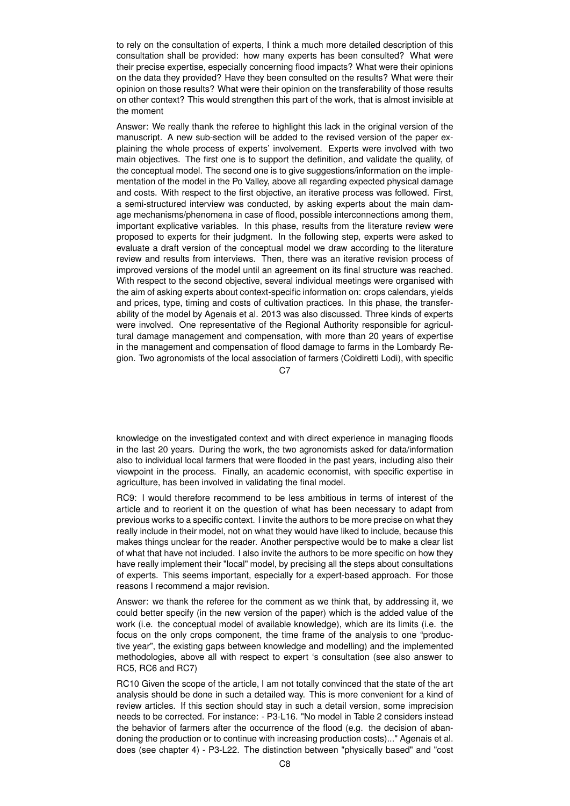to rely on the consultation of experts, I think a much more detailed description of this consultation shall be provided: how many experts has been consulted? What were their precise expertise, especially concerning flood impacts? What were their opinions on the data they provided? Have they been consulted on the results? What were their opinion on those results? What were their opinion on the transferability of those results on other context? This would strengthen this part of the work, that is almost invisible at the moment

Answer: We really thank the referee to highlight this lack in the original version of the manuscript. A new sub-section will be added to the revised version of the paper explaining the whole process of experts' involvement. Experts were involved with two main objectives. The first one is to support the definition, and validate the quality, of the conceptual model. The second one is to give suggestions/information on the implementation of the model in the Po Valley, above all regarding expected physical damage and costs. With respect to the first objective, an iterative process was followed. First, a semi-structured interview was conducted, by asking experts about the main damage mechanisms/phenomena in case of flood, possible interconnections among them, important explicative variables. In this phase, results from the literature review were proposed to experts for their judgment. In the following step, experts were asked to evaluate a draft version of the conceptual model we draw according to the literature review and results from interviews. Then, there was an iterative revision process of improved versions of the model until an agreement on its final structure was reached. With respect to the second objective, several individual meetings were organised with the aim of asking experts about context-specific information on: crops calendars, yields and prices, type, timing and costs of cultivation practices. In this phase, the transferability of the model by Agenais et al. 2013 was also discussed. Three kinds of experts were involved. One representative of the Regional Authority responsible for agricultural damage management and compensation, with more than 20 years of expertise in the management and compensation of flood damage to farms in the Lombardy Region. Two agronomists of the local association of farmers (Coldiretti Lodi), with specific

 $C.7$ 

knowledge on the investigated context and with direct experience in managing floods in the last 20 years. During the work, the two agronomists asked for data/information also to individual local farmers that were flooded in the past years, including also their viewpoint in the process. Finally, an academic economist, with specific expertise in agriculture, has been involved in validating the final model.

RC9: I would therefore recommend to be less ambitious in terms of interest of the article and to reorient it on the question of what has been necessary to adapt from previous works to a specific context. I invite the authors to be more precise on what they really include in their model, not on what they would have liked to include, because this makes things unclear for the reader. Another perspective would be to make a clear list of what that have not included. I also invite the authors to be more specific on how they have really implement their "local" model, by precising all the steps about consultations of experts. This seems important, especially for a expert-based approach. For those reasons I recommend a major revision.

Answer: we thank the referee for the comment as we think that, by addressing it, we could better specify (in the new version of the paper) which is the added value of the work (i.e. the conceptual model of available knowledge), which are its limits (i.e. the focus on the only crops component, the time frame of the analysis to one "productive year", the existing gaps between knowledge and modelling) and the implemented methodologies, above all with respect to expert 's consultation (see also answer to RC5, RC6 and RC7)

RC10 Given the scope of the article, I am not totally convinced that the state of the art analysis should be done in such a detailed way. This is more convenient for a kind of review articles. If this section should stay in such a detail version, some imprecision needs to be corrected. For instance: - P3-L16. "No model in Table 2 considers instead the behavior of farmers after the occurrence of the flood (e.g. the decision of abandoning the production or to continue with increasing production costs)..." Agenais et al. does (see chapter 4) - P3-L22. The distinction between "physically based" and "cost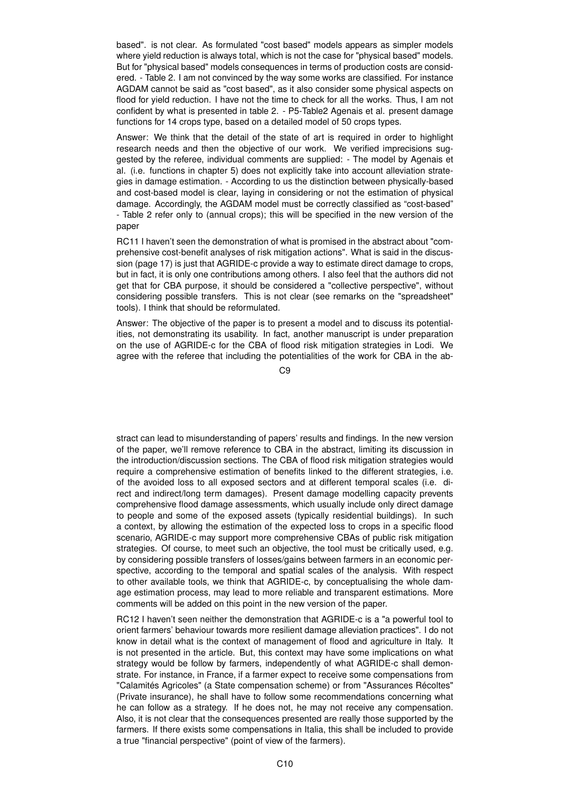based". is not clear. As formulated "cost based" models appears as simpler models where yield reduction is always total, which is not the case for "physical based" models. But for "physical based" models consequences in terms of production costs are considered. - Table 2. I am not convinced by the way some works are classified. For instance AGDAM cannot be said as "cost based", as it also consider some physical aspects on flood for yield reduction. I have not the time to check for all the works. Thus, I am not confident by what is presented in table 2. - P5-Table2 Agenais et al. present damage functions for 14 crops type, based on a detailed model of 50 crops types.

Answer: We think that the detail of the state of art is required in order to highlight research needs and then the objective of our work. We verified imprecisions suggested by the referee, individual comments are supplied: - The model by Agenais et al. (i.e. functions in chapter 5) does not explicitly take into account alleviation strategies in damage estimation. - According to us the distinction between physically-based and cost-based model is clear, laying in considering or not the estimation of physical damage. Accordingly, the AGDAM model must be correctly classified as "cost-based" - Table 2 refer only to (annual crops); this will be specified in the new version of the paper

RC11 I haven't seen the demonstration of what is promised in the abstract about "comprehensive cost-benefit analyses of risk mitigation actions". What is said in the discussion (page 17) is just that AGRIDE-c provide a way to estimate direct damage to crops, but in fact, it is only one contributions among others. I also feel that the authors did not get that for CBA purpose, it should be considered a "collective perspective", without considering possible transfers. This is not clear (see remarks on the "spreadsheet" tools). I think that should be reformulated.

Answer: The objective of the paper is to present a model and to discuss its potentialities, not demonstrating its usability. In fact, another manuscript is under preparation on the use of AGRIDE-c for the CBA of flood risk mitigation strategies in Lodi. We agree with the referee that including the potentialities of the work for CBA in the ab-

 $C9$ 

stract can lead to misunderstanding of papers' results and findings. In the new version of the paper, we'll remove reference to CBA in the abstract, limiting its discussion in the introduction/discussion sections. The CBA of flood risk mitigation strategies would require a comprehensive estimation of benefits linked to the different strategies, i.e. of the avoided loss to all exposed sectors and at different temporal scales (i.e. direct and indirect/long term damages). Present damage modelling capacity prevents comprehensive flood damage assessments, which usually include only direct damage to people and some of the exposed assets (typically residential buildings). In such a context, by allowing the estimation of the expected loss to crops in a specific flood scenario, AGRIDE-c may support more comprehensive CBAs of public risk mitigation strategies. Of course, to meet such an objective, the tool must be critically used, e.g. by considering possible transfers of losses/gains between farmers in an economic perspective, according to the temporal and spatial scales of the analysis. With respect to other available tools, we think that AGRIDE-c, by conceptualising the whole damage estimation process, may lead to more reliable and transparent estimations. More comments will be added on this point in the new version of the paper.

RC12 I haven't seen neither the demonstration that AGRIDE-c is a "a powerful tool to orient farmers' behaviour towards more resilient damage alleviation practices". I do not know in detail what is the context of management of flood and agriculture in Italy. It is not presented in the article. But, this context may have some implications on what strategy would be follow by farmers, independently of what AGRIDE-c shall demonstrate. For instance, in France, if a farmer expect to receive some compensations from "Calamités Agricoles" (a State compensation scheme) or from "Assurances Récoltes" (Private insurance), he shall have to follow some recommendations concerning what he can follow as a strategy. If he does not, he may not receive any compensation. Also, it is not clear that the consequences presented are really those supported by the farmers. If there exists some compensations in Italia, this shall be included to provide a true "financial perspective" (point of view of the farmers).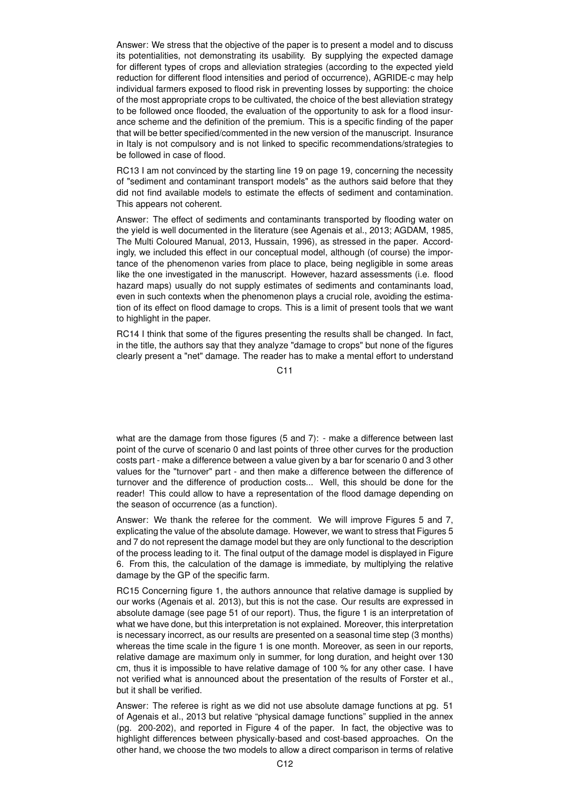Answer: We stress that the objective of the paper is to present a model and to discuss its potentialities, not demonstrating its usability. By supplying the expected damage for different types of crops and alleviation strategies (according to the expected yield reduction for different flood intensities and period of occurrence), AGRIDE-c may help individual farmers exposed to flood risk in preventing losses by supporting: the choice of the most appropriate crops to be cultivated, the choice of the best alleviation strategy to be followed once flooded, the evaluation of the opportunity to ask for a flood insurance scheme and the definition of the premium. This is a specific finding of the paper that will be better specified/commented in the new version of the manuscript. Insurance in Italy is not compulsory and is not linked to specific recommendations/strategies to be followed in case of flood.

RC13 I am not convinced by the starting line 19 on page 19, concerning the necessity of "sediment and contaminant transport models" as the authors said before that they did not find available models to estimate the effects of sediment and contamination. This appears not coherent.

Answer: The effect of sediments and contaminants transported by flooding water on the yield is well documented in the literature (see Agenais et al., 2013; AGDAM, 1985, The Multi Coloured Manual, 2013, Hussain, 1996), as stressed in the paper. Accordingly, we included this effect in our conceptual model, although (of course) the importance of the phenomenon varies from place to place, being negligible in some areas like the one investigated in the manuscript. However, hazard assessments (i.e. flood hazard maps) usually do not supply estimates of sediments and contaminants load, even in such contexts when the phenomenon plays a crucial role, avoiding the estimation of its effect on flood damage to crops. This is a limit of present tools that we want to highlight in the paper.

RC14 I think that some of the figures presenting the results shall be changed. In fact, in the title, the authors say that they analyze "damage to crops" but none of the figures clearly present a "net" damage. The reader has to make a mental effort to understand

C11

what are the damage from those figures (5 and 7): - make a difference between last point of the curve of scenario 0 and last points of three other curves for the production costs part - make a difference between a value given by a bar for scenario 0 and 3 other values for the "turnover" part - and then make a difference between the difference of turnover and the difference of production costs... Well, this should be done for the reader! This could allow to have a representation of the flood damage depending on the season of occurrence (as a function).

Answer: We thank the referee for the comment. We will improve Figures 5 and 7, explicating the value of the absolute damage. However, we want to stress that Figures 5 and 7 do not represent the damage model but they are only functional to the description of the process leading to it. The final output of the damage model is displayed in Figure 6. From this, the calculation of the damage is immediate, by multiplying the relative damage by the GP of the specific farm.

RC15 Concerning figure 1, the authors announce that relative damage is supplied by our works (Agenais et al. 2013), but this is not the case. Our results are expressed in absolute damage (see page 51 of our report). Thus, the figure 1 is an interpretation of what we have done, but this interpretation is not explained. Moreover, this interpretation is necessary incorrect, as our results are presented on a seasonal time step (3 months) whereas the time scale in the figure 1 is one month. Moreover, as seen in our reports, relative damage are maximum only in summer, for long duration, and height over 130 cm, thus it is impossible to have relative damage of 100 % for any other case. I have not verified what is announced about the presentation of the results of Forster et al., but it shall be verified.

Answer: The referee is right as we did not use absolute damage functions at pg. 51 of Agenais et al., 2013 but relative "physical damage functions" supplied in the annex (pg. 200-202), and reported in Figure 4 of the paper. In fact, the objective was to highlight differences between physically-based and cost-based approaches. On the other hand, we choose the two models to allow a direct comparison in terms of relative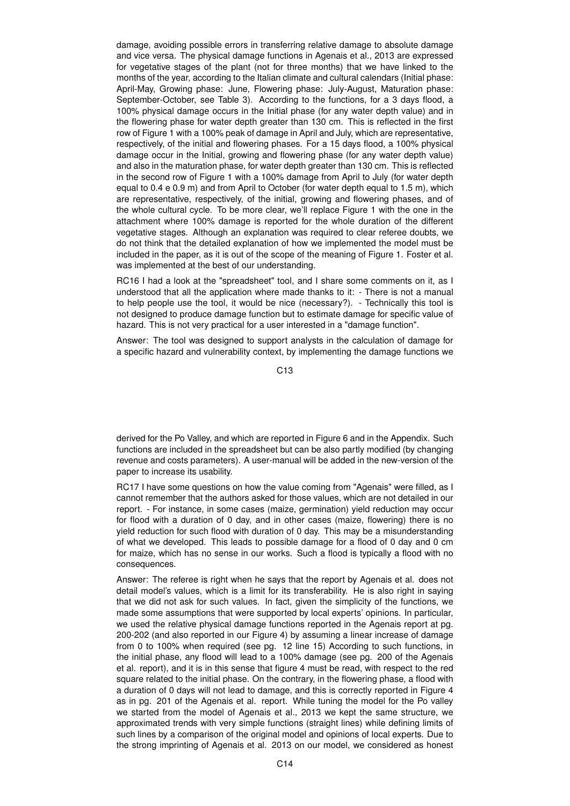damage, avoiding possible errors in transferring relative damage to absolute damage and vice versa. The physical damage functions in Agenais et al., 2013 are expressed for vegetative stages of the plant (not for three months) that we have linked to the months of the year, according to the Italian climate and cultural calendars (Initial phase: April-May, Growing phase: June, Flowering phase: July-August, Maturation phase: September-October, see Table 3). According to the functions, for a 3 days flood, a 100% physical damage occurs in the Initial phase (for any water depth value) and in the flowering phase for water depth greater than 130 cm. This is reflected in the first row of Figure 1 with a 100% peak of damage in April and July, which are representative, respectively, of the initial and flowering phases. For a 15 days flood, a 100% physical damage occur in the Initial, growing and flowering phase (for any water depth value) and also in the maturation phase, for water depth greater than 130 cm. This is reflected in the second row of Figure 1 with a 100% damage from April to July (for water depth equal to 0.4 e 0.9 m) and from April to October (for water depth equal to 1.5 m), which are representative, respectively, of the initial, growing and flowering phases, and of the whole cultural cycle. To be more clear, we'll replace Figure 1 with the one in the attachment where 100% damage is reported for the whole duration of the different vegetative stages. Although an explanation was required to clear referee doubts, we do not think that the detailed explanation of how we implemented the model must be included in the paper, as it is out of the scope of the meaning of Figure 1. Foster et al. was implemented at the best of our understanding.

RC16 I had a look at the "spreadsheet" tool, and I share some comments on it, as I understood that all the application where made thanks to it: - There is not a manual to help people use the tool, it would be nice (necessary?). - Technically this tool is not designed to produce damage function but to estimate damage for specific value of hazard. This is not very practical for a user interested in a "damage function".

Answer: The tool was designed to support analysts in the calculation of damage for a specific hazard and vulnerability context, by implementing the damage functions we

C13

derived for the Po Valley, and which are reported in Figure 6 and in the Appendix. Such functions are included in the spreadsheet but can be also partly modified (by changing revenue and costs parameters). A user-manual will be added in the new-version of the paper to increase its usability.

RC17 I have some questions on how the value coming from "Agenais" were filled, as I cannot remember that the authors asked for those values, which are not detailed in our report. - For instance, in some cases (maize, germination) yield reduction may occur for flood with a duration of 0 day, and in other cases (maize, flowering) there is no yield reduction for such flood with duration of 0 day. This may be a misunderstanding of what we developed. This leads to possible damage for a flood of 0 day and 0 cm for maize, which has no sense in our works. Such a flood is typically a flood with no consequences.

Answer: The referee is right when he says that the report by Agenais et al. does not detail model's values, which is a limit for its transferability. He is also right in saying that we did not ask for such values. In fact, given the simplicity of the functions, we made some assumptions that were supported by local experts' opinions. In particular, we used the relative physical damage functions reported in the Agenais report at pg. 200-202 (and also reported in our Figure 4) by assuming a linear increase of damage from 0 to 100% when required (see pg. 12 line 15) According to such functions, in the initial phase, any flood will lead to a 100% damage (see pg. 200 of the Agenais et al. report), and it is in this sense that figure 4 must be read, with respect to the red square related to the initial phase. On the contrary, in the flowering phase, a flood with a duration of 0 days will not lead to damage, and this is correctly reported in Figure 4 as in pg. 201 of the Agenais et al. report. While tuning the model for the Po valley we started from the model of Agenais et al., 2013 we kept the same structure, we approximated trends with very simple functions (straight lines) while defining limits of such lines by a comparison of the original model and opinions of local experts. Due to the strong imprinting of Agenais et al. 2013 on our model, we considered as honest